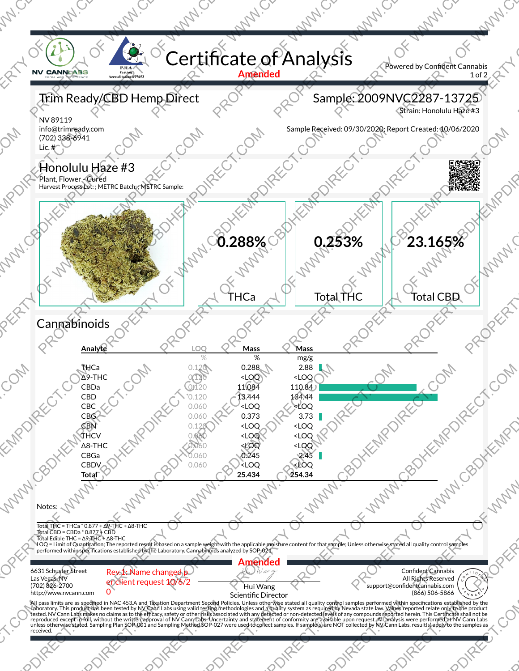